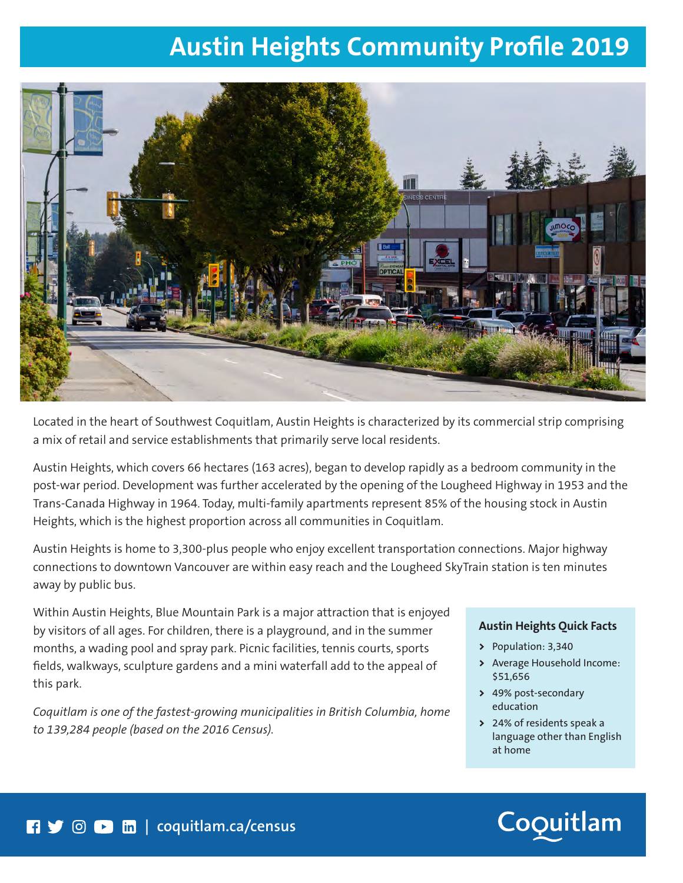## **Austin Heights Community Profile 2019**



Located in the heart of Southwest Coquitlam, Austin Heights is characterized by its commercial strip comprising a mix of retail and service establishments that primarily serve local residents.

Austin Heights, which covers 66 hectares (163 acres), began to develop rapidly as a bedroom community in the post-war period. Development was further accelerated by the opening of the Lougheed Highway in 1953 and the Trans-Canada Highway in 1964. Today, multi-family apartments represent 85% of the housing stock in Austin Heights, which is the highest proportion across all communities in Coquitlam.

Austin Heights is home to 3,300-plus people who enjoy excellent transportation connections. Major highway connections to downtown Vancouver are within easy reach and the Lougheed SkyTrain station is ten minutes away by public bus.

Within Austin Heights, Blue Mountain Park is a major attraction that is enjoyed by visitors of all ages. For children, there is a playground, and in the summer months, a wading pool and spray park. Picnic facilities, tennis courts, sports fields, walkways, sculpture gardens and a mini waterfall add to the appeal of this park.

*Coquitlam is one of the fastest-growing municipalities in British Columbia, home to 139,284 people (based on the 2016 Census).*

### **Austin Heights Quick Facts**

- **>** Population: 3,340
- **>** Average Household Income: \$51,656
- **>** 49% post-secondary education
- **>** 24% of residents speak a language other than English at home

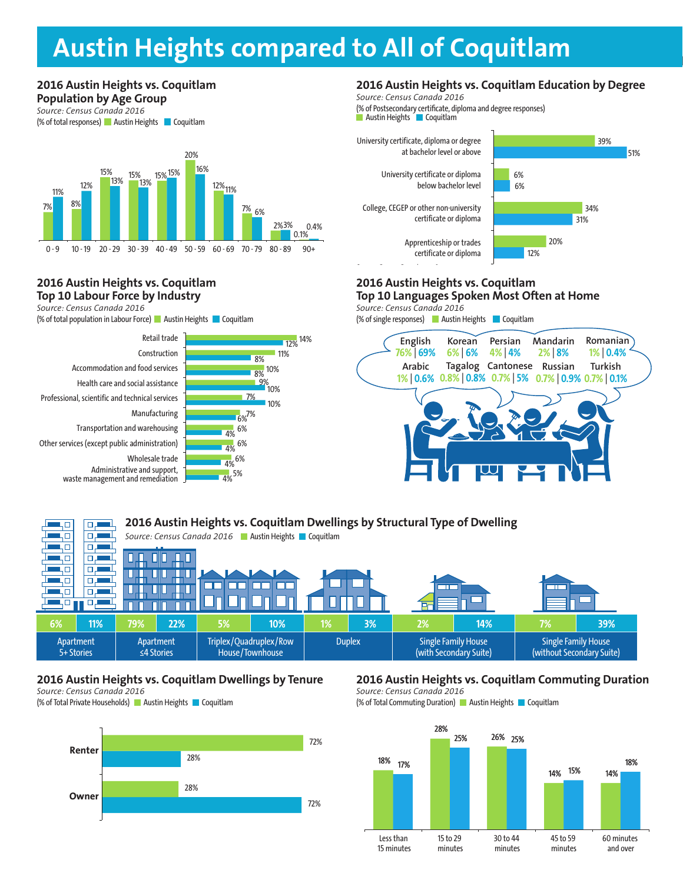## **2016 City Centre vs. Coquitlam Population by Age Group Austin Heights compared to All of Coquitlam**

#### 7% 8% 15% 15% 15% 15% 16% 20% 12%<sub>11%</sub> 7% 6% 2%3% 0.1% 11% 12% <sup>13%</sup> 13% 0.4% **2016 Austin Heights vs. Coquitlam Population by Age Group Population by Age Group** Source: Census Canada 2016 (% of total responses) Austin Heights Coquitlam 0 - 9 10 - 19 20 - 29 30 - 39 40 - 49 50 - 59 60 - 69 70 - 79 80 - 89 90 <del>+</del>

### **2016 Austin Heights vs. Coquitlam Top 10 Labour Force by Industry**

**2016 Austin Heights vs. Coquitlam** 

*Source: Census Canada 2016*

(% of total population in Labour Force) **Austin Heights Coquitlam** 





### **2016 Austin Heights vs. Coquitlam Education by Degree**

(% of Postsecondary certificate, diploma and degree responses) (% of Postsecondary certificate, diploma and degree responses) **Austin Heights Coquitlam** *Source: Census Canada 2016*



### **2016 Austin Heights vs. Coquitlam Top 10 Languages Spoken Most Often at Home**

Source: Census Canada 2016

(% of single responses) **Austin Heights** Coquitlam



|                         | 2016 Austin Heights vs. Coquitlam Dwellings by Structural Type of Dwelling |                                                         |                          |                                           |     |               |    |                                                      |     |                                                         |     |  |
|-------------------------|----------------------------------------------------------------------------|---------------------------------------------------------|--------------------------|-------------------------------------------|-----|---------------|----|------------------------------------------------------|-----|---------------------------------------------------------|-----|--|
|                         |                                                                            | Source: Census Canada 2016   Austin Heights   Coquitlam |                          |                                           |     |               |    |                                                      |     |                                                         |     |  |
|                         | о                                                                          |                                                         |                          |                                           |     |               |    |                                                      |     |                                                         |     |  |
|                         | о.                                                                         |                                                         |                          |                                           |     |               |    |                                                      |     |                                                         |     |  |
|                         |                                                                            |                                                         |                          |                                           |     |               |    |                                                      |     |                                                         |     |  |
|                         |                                                                            |                                                         | $\overline{\phantom{a}}$ |                                           |     |               |    |                                                      |     |                                                         |     |  |
|                         |                                                                            |                                                         |                          |                                           |     |               |    |                                                      |     |                                                         |     |  |
|                         |                                                                            |                                                         |                          |                                           |     |               |    |                                                      |     |                                                         |     |  |
| 6%                      | 11%                                                                        | 79%                                                     | 22%                      | 5%                                        | 10% | 1%            | 3% | 2%                                                   | 14% | 7%                                                      | 39% |  |
| Apartment<br>5+ Stories |                                                                            | Apartment<br>$\leq$ 4 Stories                           |                          | Triplex/Quadruplex/Row<br>House/Townhouse |     | <b>Duplex</b> |    | <b>Single Family House</b><br>(with Secondary Suite) |     | <b>Single Family House</b><br>(without Secondary Suite) |     |  |

### **2016 Austin Heights vs. Coquitlam Dwellings by Tenure**

*Source: Census Canada 2016*

(% of Total Private Households) Austin Heights Coquitlam



## **2016 Austin Heights vs. Coquitlam Commuting Duration**

*Source: Census Canada 2016*

(% of Total Commuting Duration) Austin Heights Coquitlam

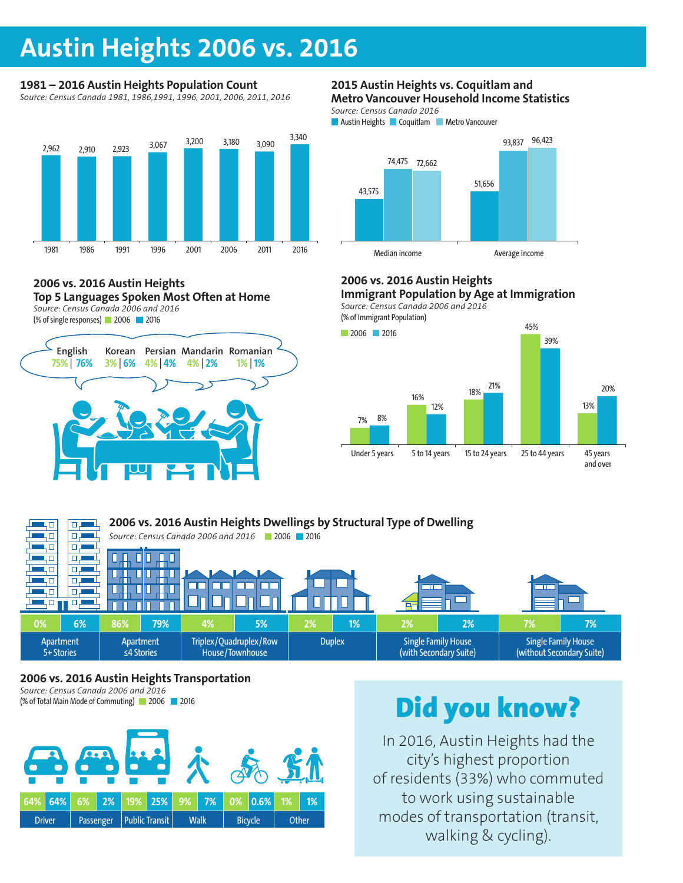## **Austin Heights 2006 vs. 2016**

## **1981 – 2016 Austin Heights Population Count**

**Chart 1: 1981-2016 Austin Heights Population Count** *Source: Census Canada 1981, 1986,1991, 1996, 2001, 2006, 2011, 2016*



#### **2006 vs. 2016 Austin Heights Top 5 Languages Spoken Most Often at Home** *Source: Census Canada 2006 and 2016*

(% of single responses) 2006 2016



### **2015 Austin Heights vs. Coquitlam and Metro Vancouver Household Income Statistics**

Austin Heights Coquitlam GVRD *Source: Census Canada 2016*

**Austin Heights Coquitlam Metro Vancouver** 



## **2006 vs. 2016 Austin Heights**

2006 2016 *Source: Census Canada 2006 and 2016* **BUSINESS Immigrant Population by Age at Immigration**







### **2006 vs. 2016 Austin Heights Transportation**

*Source: Census Canada 2006 and 2016* (% of Total Main Mode of Commuting) 2006 2016



# Did you know?

In 2016, Austin Heights had the city's highest proportion of residents (33%) who commuted to work using sustainable modes of transportation (transit, walking & cycling).